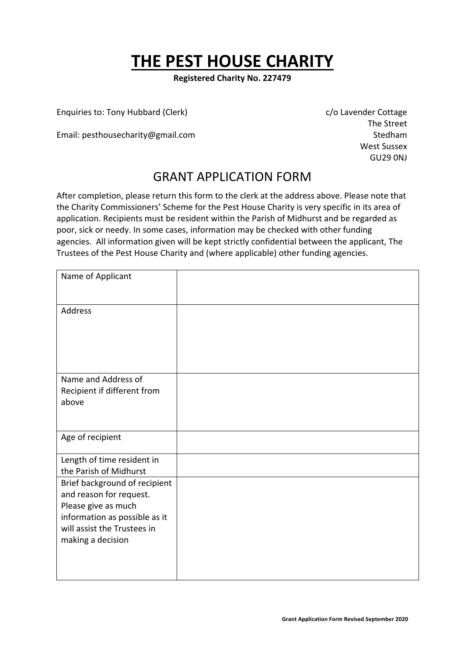# **THE PEST HOUSE CHARITY**

**Registered Charity No. 227479**

Enquiries to: Tony Hubbard (Clerk) Chavender Cottage c/o Lavender Cottage

Email: pesthousecharity@gmail.com Stedham

The Street West Sussex GU29 0NJ

### GRANT APPLICATION FORM

After completion, please return this form to the clerk at the address above. Please note that the Charity Commissioners' Scheme for the Pest House Charity is very specific in its area of application. Recipients must be resident within the Parish of Midhurst and be regarded as poor, sick or needy. In some cases, information may be checked with other funding agencies. All information given will be kept strictly confidential between the applicant, The Trustees of the Pest House Charity and (where applicable) other funding agencies.

| Name of Applicant                                                                                                                                                    |  |
|----------------------------------------------------------------------------------------------------------------------------------------------------------------------|--|
| Address                                                                                                                                                              |  |
| Name and Address of<br>Recipient if different from<br>above                                                                                                          |  |
| Age of recipient                                                                                                                                                     |  |
| Length of time resident in<br>the Parish of Midhurst                                                                                                                 |  |
| Brief background of recipient<br>and reason for request.<br>Please give as much<br>information as possible as it<br>will assist the Trustees in<br>making a decision |  |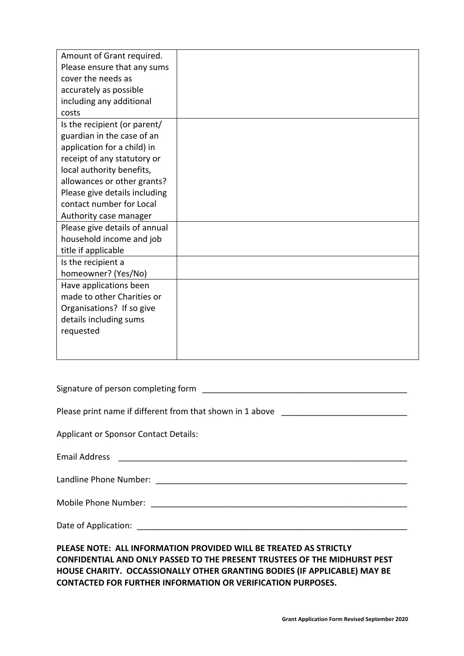| Amount of Grant required.     |  |
|-------------------------------|--|
| Please ensure that any sums   |  |
| cover the needs as            |  |
| accurately as possible        |  |
| including any additional      |  |
| costs                         |  |
| Is the recipient (or parent/  |  |
| guardian in the case of an    |  |
| application for a child) in   |  |
| receipt of any statutory or   |  |
| local authority benefits,     |  |
| allowances or other grants?   |  |
| Please give details including |  |
| contact number for Local      |  |
| Authority case manager        |  |
| Please give details of annual |  |
| household income and job      |  |
| title if applicable           |  |
| Is the recipient a            |  |
| homeowner? (Yes/No)           |  |
| Have applications been        |  |
| made to other Charities or    |  |
| Organisations? If so give     |  |
| details including sums        |  |
| requested                     |  |
|                               |  |
|                               |  |
|                               |  |
|                               |  |

| Signature of person completing form |  |
|-------------------------------------|--|
|                                     |  |

Please print name if different from that shown in 1 above \_\_\_\_\_\_\_\_\_\_\_\_\_\_\_\_\_\_\_\_\_\_

Applicant or Sponsor Contact Details:

| <b>Email Address</b> |  |
|----------------------|--|
|                      |  |
|                      |  |

| Landline Phone Number: |  |  |
|------------------------|--|--|
|------------------------|--|--|

Mobile Phone Number: \_\_\_\_\_\_\_\_\_\_\_\_\_\_\_\_\_\_\_\_\_\_\_\_\_\_\_\_\_\_\_\_\_\_\_\_\_\_\_\_\_\_\_\_\_\_\_\_\_\_\_\_\_\_\_

Date of Application: **Example 20** and 20 and 20 and 20 and 20 and 20 and 20 and 20 and 20 and 20 and 20 and 20 and 20 and 20 and 20 and 20 and 20 and 20 and 20 and 20 and 20 and 20 and 20 and 20 and 20 and 20 and 20 and 20

**PLEASE NOTE: ALL INFORMATION PROVIDED WILL BE TREATED AS STRICTLY CONFIDENTIAL AND ONLY PASSED TO THE PRESENT TRUSTEES OF THE MIDHURST PEST HOUSE CHARITY. OCCASSIONALLY OTHER GRANTING BODIES (IF APPLICABLE) MAY BE CONTACTED FOR FURTHER INFORMATION OR VERIFICATION PURPOSES.**